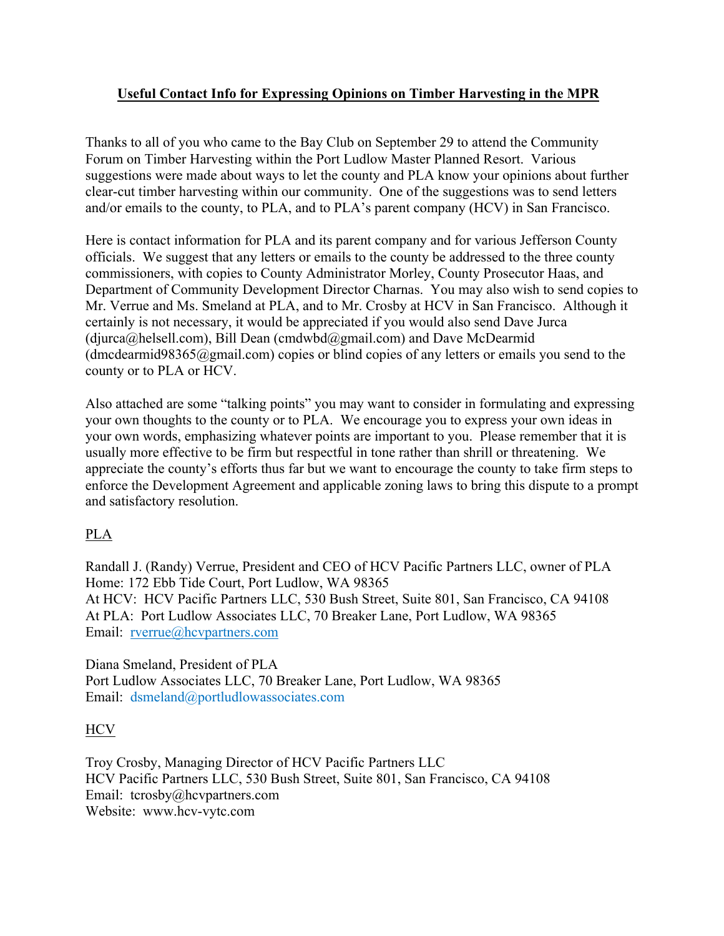## **Useful Contact Info for Expressing Opinions on Timber Harvesting in the MPR**

Thanks to all of you who came to the Bay Club on September 29 to attend the Community Forum on Timber Harvesting within the Port Ludlow Master Planned Resort. Various suggestions were made about ways to let the county and PLA know your opinions about further clear-cut timber harvesting within our community. One of the suggestions was to send letters and/or emails to the county, to PLA, and to PLA's parent company (HCV) in San Francisco.

Here is contact information for PLA and its parent company and for various Jefferson County officials. We suggest that any letters or emails to the county be addressed to the three county commissioners, with copies to County Administrator Morley, County Prosecutor Haas, and Department of Community Development Director Charnas. You may also wish to send copies to Mr. Verrue and Ms. Smeland at PLA, and to Mr. Crosby at HCV in San Francisco. Although it certainly is not necessary, it would be appreciated if you would also send Dave Jurca  $(diurca@helsell.com)$ , Bill Dean (cmdwbd@gmail.com) and Dave McDearmid (dmcdearmid98365@gmail.com) copies or blind copies of any letters or emails you send to the county or to PLA or HCV.

Also attached are some "talking points" you may want to consider in formulating and expressing your own thoughts to the county or to PLA. We encourage you to express your own ideas in your own words, emphasizing whatever points are important to you. Please remember that it is usually more effective to be firm but respectful in tone rather than shrill or threatening. We appreciate the county's efforts thus far but we want to encourage the county to take firm steps to enforce the Development Agreement and applicable zoning laws to bring this dispute to a prompt and satisfactory resolution.

## PLA

Randall J. (Randy) Verrue, President and CEO of HCV Pacific Partners LLC, owner of PLA Home: 172 Ebb Tide Court, Port Ludlow, WA 98365 At HCV: HCV Pacific Partners LLC, 530 Bush Street, Suite 801, San Francisco, CA 94108 At PLA: Port Ludlow Associates LLC, 70 Breaker Lane, Port Ludlow, WA 98365 Email: rverrue@hcvpartners.com

Diana Smeland, President of PLA Port Ludlow Associates LLC, 70 Breaker Lane, Port Ludlow, WA 98365 Email: dsmeland@portludlowassociates.com

## **HCV**

Troy Crosby, Managing Director of HCV Pacific Partners LLC HCV Pacific Partners LLC, 530 Bush Street, Suite 801, San Francisco, CA 94108 Email: tcrosby@hcvpartners.com Website: www.hcv-vytc.com